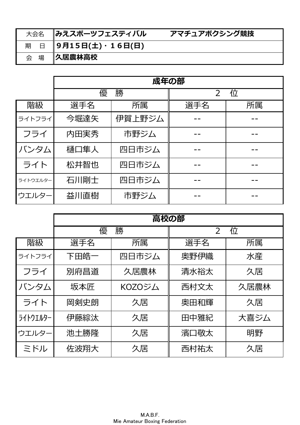| 大会名   みえスポーツフェスティバル     | アマチュアボクシング競技 |
|-------------------------|--------------|
| 期 日 9月15日(土)·16日(日)     |              |
| 会 場 <mark>人居農林高校</mark> |              |

|          | 成年の部 |        |                     |    |  |  |  |  |  |
|----------|------|--------|---------------------|----|--|--|--|--|--|
|          | 優    | 勝      | 位<br>$\overline{2}$ |    |  |  |  |  |  |
| 階級       | 選手名  | 所属     | 選手名                 | 所属 |  |  |  |  |  |
| ライトフライ   | 今堀達矢 | 伊賀上野ジム |                     |    |  |  |  |  |  |
| フライ      | 内田実秀 | 市野ジム   |                     |    |  |  |  |  |  |
| バンタム     | 樋口隼人 | 四日市ジム  |                     |    |  |  |  |  |  |
| ライト      | 松井智也 | 四日市ジム  |                     |    |  |  |  |  |  |
| ライトウエルター | 石川剛士 | 四日市ジム  |                     |    |  |  |  |  |  |
| ウエルター    | 益川直樹 | 市野ジム   |                     |    |  |  |  |  |  |

|          | 高校の部       |        |                     |      |  |  |  |  |
|----------|------------|--------|---------------------|------|--|--|--|--|
|          | 優          | 勝      | 位<br>$\overline{2}$ |      |  |  |  |  |
| 階級       | 選手名        | 所属     | 選手名                 | 所属   |  |  |  |  |
| ライトフライ   | 下田皓一       | 四日市ジム  | 奥野伊織                | 水産   |  |  |  |  |
| フライ      | 別府昌道       | 久居農林   | 清水裕太                | 久居   |  |  |  |  |
| バンタム     | 坂本匠        | KOZOジム | 西村文太                | 久居農林 |  |  |  |  |
| ライト      | 岡剣史朗<br>久居 |        | 奥田和輝                | 久居   |  |  |  |  |
| ライトウエルター | 伊藤綜汰       | 久居     | 田中雅紀                | 大喜ジム |  |  |  |  |
| ウエルター    | 池土勝隆<br>久居 |        | 濱口敬太                | 明野   |  |  |  |  |
| ミドル      | 佐波翔大<br>久居 |        | 西村祐太                | 久居   |  |  |  |  |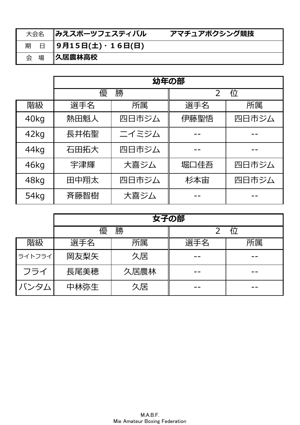| 大会名 | <b>∥みえスポーツフェスティバル</b> | アマチュアボクシング競技 |
|-----|-----------------------|--------------|
|     | 期 日 9月15日(土)・16日(日)   |              |
| 会 場 | <b> 久居農林高校</b>        |              |

|      | 幼年の部          |       |                     |       |  |  |  |  |
|------|---------------|-------|---------------------|-------|--|--|--|--|
|      | 優             | 勝     | 位<br>$\overline{2}$ |       |  |  |  |  |
| 階級   | 選手名           | 所属    | 選手名                 | 所属    |  |  |  |  |
| 40kg | 熱田魁人          | 四日市ジム | 伊藤聖悟                | 四日市ジム |  |  |  |  |
| 42kg | 長井佑聖          | ニイミジム |                     |       |  |  |  |  |
| 44kg | 四日市ジム<br>石田拓大 |       |                     |       |  |  |  |  |
| 46kg | 宇津輝           | 大喜ジム  | 堀口佳吾                | 四日市ジム |  |  |  |  |
| 48kg | 田中翔太          | 四日市ジム | 杉本宙                 | 四日市ジム |  |  |  |  |
| 54kg | 斉藤智樹          | 大喜ジム  |                     |       |  |  |  |  |

|        | 女子の部 |      |           |  |  |  |  |  |  |
|--------|------|------|-----------|--|--|--|--|--|--|
|        | 優    | 勝    |           |  |  |  |  |  |  |
| 階級     | 選手名  | 所属   | 所属<br>選手名 |  |  |  |  |  |  |
| ライトフライ | 岡友梨矢 | 久居   |           |  |  |  |  |  |  |
| フライ    | 長尾美穂 | 久居農林 |           |  |  |  |  |  |  |
| バンタム   | 中林弥生 | 久居   |           |  |  |  |  |  |  |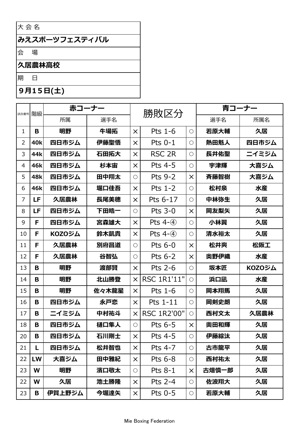## 大会名

# みえスポーツフェスティバル

会 場

#### 久居農林高校

期  $\boxminus$ 

## 9月15日(土)

|                | 階級<br>試合番号 |               | 赤コーナー |            | 勝敗区分               |            | 青コーナー |        |
|----------------|------------|---------------|-------|------------|--------------------|------------|-------|--------|
|                |            | 所属            | 選手名   |            |                    |            | 選手名   | 所属名    |
| $\mathbf{1}$   | B          | 明野            | 牛場拓   | $\times$   | Pts 1-6            | $\bigcirc$ | 若原大輔  | 久居     |
| $\overline{2}$ | <b>40k</b> | 四日市ジム         | 伊藤聖悟  | $\times$   | Pts 0-1            | $\bigcirc$ | 熱田魁人  | 四日市ジム  |
| 3              | 44k        | 四日市ジム         | 石田拓大  | $\times$   | RSC <sub>2R</sub>  | $\bigcirc$ | 長井佑聖  | ニイミジム  |
| $\overline{4}$ | 46k        | 四日市ジム         | 杉本宙   | $\times$   | Pts 4-5            | $\bigcirc$ | 宇津輝   | 大喜ジム   |
| 5              | 48k        | 四日市ジム         | 田中翔太  | $\circ$    | <b>Pts 9-2</b>     | $\times$   | 斉藤智樹  | 大喜ジム   |
| 6              | 46k        | 四日市ジム         | 堀口佳吾  | $\times$   | Pts $1-2$          | $\bigcirc$ | 松村泉   | 水産     |
| $\overline{7}$ | LF         | 久居農林          | 長尾美穂  | $\times$   | Pts 6-17           | $\bigcirc$ | 中林弥生  | 久居     |
| 8              | LF         | 四日市ジム         | 下田皓一  | $\circ$    | <b>Pts 3-0</b>     | $\times$   | 岡友梨矢  | 久居     |
| 9              | F          | 四日市ジム         | 宮森雄大  | $\times$   | Pts $4-(4)$        | $\bigcirc$ | 小林翼   | 久居     |
| 10             | F          | <b>KOZOジム</b> | 鈴木凱貴  | $\times$   | Pts $4-(4)$        | $\bigcirc$ | 清水裕太  | 久居     |
| 11             | F          | 久居農林          | 別府昌道  | $\bigcirc$ | Pts $6-0$          | $\times$   | 松井爽   | 松阪工    |
| 12             | F          | 久居農林          | 谷智弘   | $\bigcirc$ | Pts 6-2            | $\times$   | 奥野伊織  | 水産     |
| 13             | B          | 明野            | 渡部賢   | $\times$   | Pts 2-6            | $\bigcirc$ | 坂本匠   | KOZOジム |
| 14             | B          | 明野            | 北山勝登  | $\times$   | <b>RSC 1R1'11"</b> | $\bigcirc$ | 浜口凪   | 水産     |
| 15             | B          | 明野            | 佐々木龍星 | $\times$   | Pts 1-6            | $\bigcirc$ | 岡本翔馬  | 久居     |
| 16             | B          | 四日市ジム         | 永戸恋   | $\times$   | Pts 1-11           | $\bigcirc$ | 岡剣史朗  | 久居     |
| 17             | B          | ニイミジム         | 中村祐斗  | $\times$   | <b>RSC 1R2'00"</b> | $\bigcirc$ | 西村文太  | 久居農林   |
| 18             | B          | 四日市ジム         | 樋口隼人  | $\bigcirc$ | Pts 6-5            | $\times$   | 奥田和輝  | 久居     |
| 20             | Β          | 四日市ジム         | 石川剛士  | $\times$   | Pts 4-5            | $\bigcirc$ | 伊藤綜汰  | 久居     |
| 21             | L          | 四日市ジム         | 松井智也  | $\times$   | <b>Pts 4-7</b>     | $\bigcirc$ | 古市龍平  | 久居     |
| 22             | LW         | 大喜ジム          | 田中雅紀  | $\times$   | Pts $6-8$          | $\bigcirc$ | 西村祐太  | 久居     |
| 23             | W          | 明野            | 濱口敬太  | $\bigcirc$ | Pts $8-1$          | $\times$   | 古畑慎一郎 | 久居     |
| 22             | W          | 久居            | 池土勝隆  | $\times$   | Pts $2-4$          | $\bigcirc$ | 佐波翔大  | 久居     |
| 23             | B          | 伊賀上野ジム        | 今堀達矢  | $\times$   | Pts 0-5            | $\bigcirc$ | 若原大輔  | 久居     |